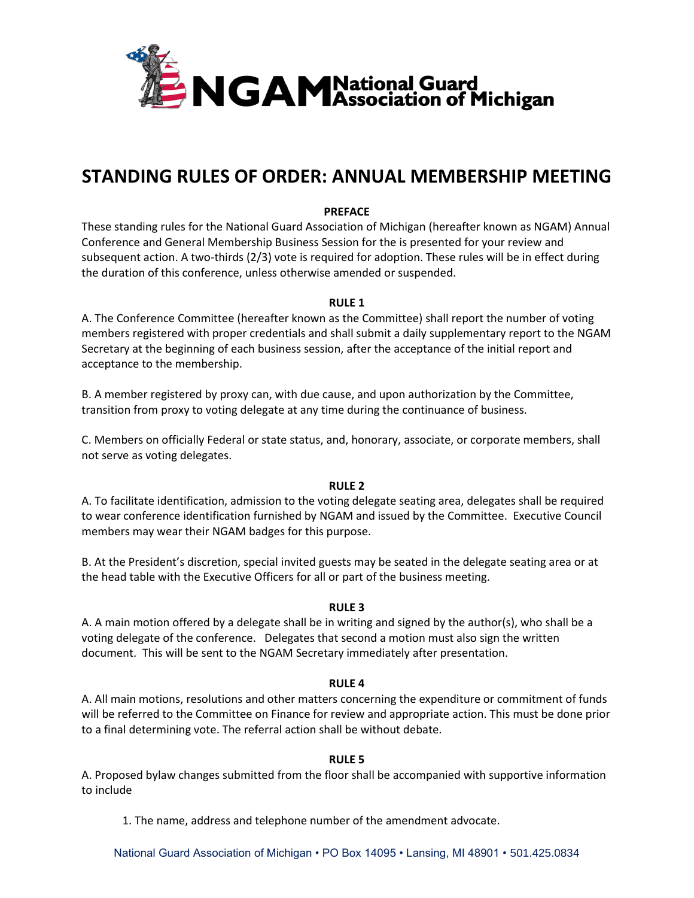

# **STANDING RULES OF ORDER: ANNUAL MEMBERSHIP MEETING**

#### **PREFACE**

These standing rules for the National Guard Association of Michigan (hereafter known as NGAM) Annual Conference and General Membership Business Session for the is presented for your review and subsequent action. A two-thirds (2/3) vote is required for adoption. These rules will be in effect during the duration of this conference, unless otherwise amended or suspended.

#### **RULE 1**

A. The Conference Committee (hereafter known as the Committee) shall report the number of voting members registered with proper credentials and shall submit a daily supplementary report to the NGAM Secretary at the beginning of each business session, after the acceptance of the initial report and acceptance to the membership.

B. A member registered by proxy can, with due cause, and upon authorization by the Committee, transition from proxy to voting delegate at any time during the continuance of business.

C. Members on officially Federal or state status, and, honorary, associate, or corporate members, shall not serve as voting delegates.

#### **RULE 2**

A. To facilitate identification, admission to the voting delegate seating area, delegates shall be required to wear conference identification furnished by NGAM and issued by the Committee. Executive Council members may wear their NGAM badges for this purpose.

B. At the President's discretion, special invited guests may be seated in the delegate seating area or at the head table with the Executive Officers for all or part of the business meeting.

#### **RULE 3**

A. A main motion offered by a delegate shall be in writing and signed by the author(s), who shall be a voting delegate of the conference. Delegates that second a motion must also sign the written document. This will be sent to the NGAM Secretary immediately after presentation.

#### **RULE 4**

A. All main motions, resolutions and other matters concerning the expenditure or commitment of funds will be referred to the Committee on Finance for review and appropriate action. This must be done prior to a final determining vote. The referral action shall be without debate.

## **RULE 5**

A. Proposed bylaw changes submitted from the floor shall be accompanied with supportive information to include

1. The name, address and telephone number of the amendment advocate.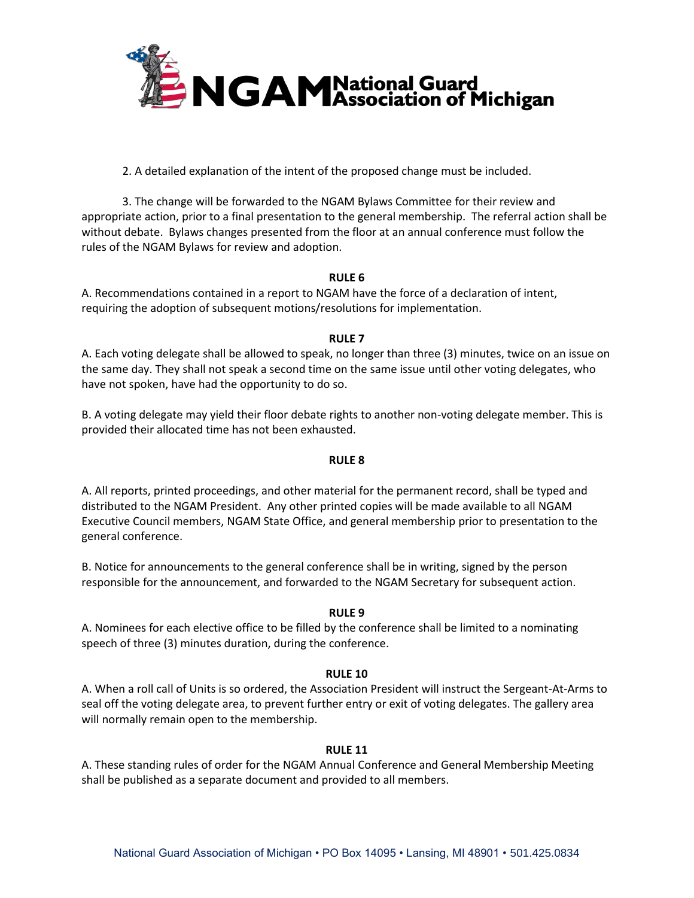

2. A detailed explanation of the intent of the proposed change must be included.

3. The change will be forwarded to the NGAM Bylaws Committee for their review and appropriate action, prior to a final presentation to the general membership. The referral action shall be without debate. Bylaws changes presented from the floor at an annual conference must follow the rules of the NGAM Bylaws for review and adoption.

## **RULE 6**

A. Recommendations contained in a report to NGAM have the force of a declaration of intent, requiring the adoption of subsequent motions/resolutions for implementation.

## **RULE 7**

A. Each voting delegate shall be allowed to speak, no longer than three (3) minutes, twice on an issue on the same day. They shall not speak a second time on the same issue until other voting delegates, who have not spoken, have had the opportunity to do so.

B. A voting delegate may yield their floor debate rights to another non-voting delegate member. This is provided their allocated time has not been exhausted.

## **RULE 8**

A. All reports, printed proceedings, and other material for the permanent record, shall be typed and distributed to the NGAM President. Any other printed copies will be made available to all NGAM Executive Council members, NGAM State Office, and general membership prior to presentation to the general conference.

B. Notice for announcements to the general conference shall be in writing, signed by the person responsible for the announcement, and forwarded to the NGAM Secretary for subsequent action.

## **RULE 9**

A. Nominees for each elective office to be filled by the conference shall be limited to a nominating speech of three (3) minutes duration, during the conference.

## **RULE 10**

A. When a roll call of Units is so ordered, the Association President will instruct the Sergeant-At-Arms to seal off the voting delegate area, to prevent further entry or exit of voting delegates. The gallery area will normally remain open to the membership.

## **RULE 11**

A. These standing rules of order for the NGAM Annual Conference and General Membership Meeting shall be published as a separate document and provided to all members.